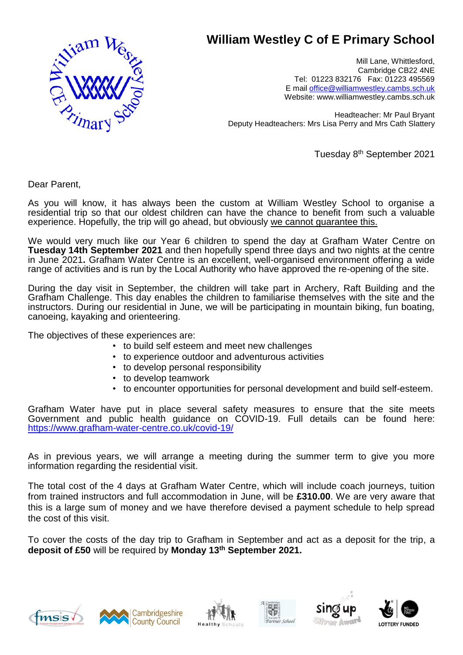

## **William Westley C of E Primary School**

Mill Lane, Whittlesford, Cambridge CB22 4NE Tel: 01223 832176 Fax: 01223 495569 E mail [office@williamwestley.cambs.sch.uk](mailto:office@williamwestley.cambs.sch.uk) Website: www.williamwestley.cambs.sch.uk

Headteacher: Mr Paul Bryant Deputy Headteachers: Mrs Lisa Perry and Mrs Cath Slattery

Tuesday 8 th September 2021

Dear Parent,

As you will know, it has always been the custom at William Westley School to organise a residential trip so that our oldest children can have the chance to benefit from such a valuable experience. Hopefully, the trip will go ahead, but obviously we cannot guarantee this.

We would very much like our Year 6 children to spend the day at Grafham Water Centre on **Tuesday 14th September 2021** and then hopefully spend three days and two nights at the centre in June 2021**.** Grafham Water Centre is an excellent, well-organised environment offering a wide range of activities and is run by the Local Authority who have approved the re-opening of the site.

During the day visit in September, the children will take part in Archery, Raft Building and the Grafham Challenge. This day enables the children to familiarise themselves with the site and the instructors. During our residential in June, we will be participating in mountain biking, fun boating, canoeing, kayaking and orienteering.

The objectives of these experiences are:

- to build self esteem and meet new challenges
- to experience outdoor and adventurous activities
- to develop personal responsibility
- to develop teamwork
- to encounter opportunities for personal development and build self-esteem.

Grafham Water have put in place several safety measures to ensure that the site meets Government and public health guidance on COVID-19. Full details can be found here: <https://www.grafham-water-centre.co.uk/covid-19/>

As in previous years, we will arrange a meeting during the summer term to give you more information regarding the residential visit.

The total cost of the 4 days at Grafham Water Centre, which will include coach journeys, tuition from trained instructors and full accommodation in June, will be **£310.00**. We are very aware that this is a large sum of money and we have therefore devised a payment schedule to help spread the cost of this visit.

To cover the costs of the day trip to Grafham in September and act as a deposit for the trip, a **deposit of £50** will be required by **Monday 13 th September 2021.**